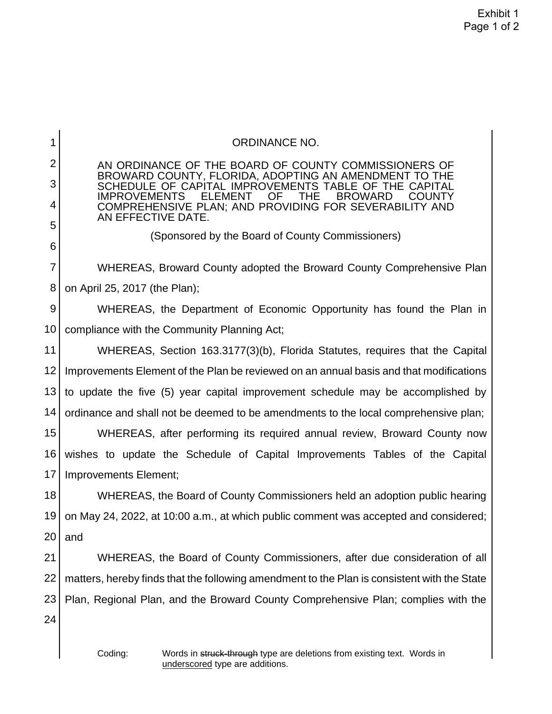| 1              | <b>ORDINANCE NO.</b>                                                                                                                                   |  |
|----------------|--------------------------------------------------------------------------------------------------------------------------------------------------------|--|
| $\overline{2}$ | AN ORDINANCE OF THE BOARD OF COUNTY COMMISSIONERS OF                                                                                                   |  |
| 3              | BROWARD COUNTY, FLORIDA, ADOPTING AN AMENDMENT TO THE<br>SCHEDULE OF CAPITAL IMPROVEMENTS TABLE OF THE CAPITAL                                         |  |
| 4              | <b>THE</b><br><b>BROWARD</b><br><b>IMPROVEMENTS</b><br><b>ELEMENT</b><br>OF<br><b>COUNTY</b><br>COMPREHENSIVE PLAN; AND PROVIDING FOR SEVERABILITY AND |  |
| 5              | AN EFFECTIVE DATE.                                                                                                                                     |  |
| 6              | (Sponsored by the Board of County Commissioners)                                                                                                       |  |
| 7              | WHEREAS, Broward County adopted the Broward County Comprehensive Plan                                                                                  |  |
| 8              | on April 25, 2017 (the Plan);                                                                                                                          |  |
| 9              | WHEREAS, the Department of Economic Opportunity has found the Plan in                                                                                  |  |
| 10             | compliance with the Community Planning Act;                                                                                                            |  |
| 11             | WHEREAS, Section 163.3177(3)(b), Florida Statutes, requires that the Capital                                                                           |  |
| 12             | Improvements Element of the Plan be reviewed on an annual basis and that modifications                                                                 |  |
| 13             | to update the five (5) year capital improvement schedule may be accomplished by                                                                        |  |
| 14             | ordinance and shall not be deemed to be amendments to the local comprehensive plan;                                                                    |  |
| 15             | WHEREAS, after performing its required annual review, Broward County now                                                                               |  |
| 16             | wishes to update the Schedule of Capital Improvements Tables of the Capital                                                                            |  |
| 17             | Improvements Element;                                                                                                                                  |  |
| 18             | WHEREAS, the Board of County Commissioners held an adoption public hearing                                                                             |  |
| 19             | on May 24, 2022, at 10:00 a.m., at which public comment was accepted and considered;                                                                   |  |
| 20             | and                                                                                                                                                    |  |
| 21             | WHEREAS, the Board of County Commissioners, after due consideration of all                                                                             |  |
| 22             | matters, hereby finds that the following amendment to the Plan is consistent with the State                                                            |  |
| 23             | Plan, Regional Plan, and the Broward County Comprehensive Plan; complies with the                                                                      |  |
| 24             |                                                                                                                                                        |  |
|                |                                                                                                                                                        |  |
|                | Coding:<br>Words in struck-through type are deletions from existing text. Words in                                                                     |  |

underscored type are additions.